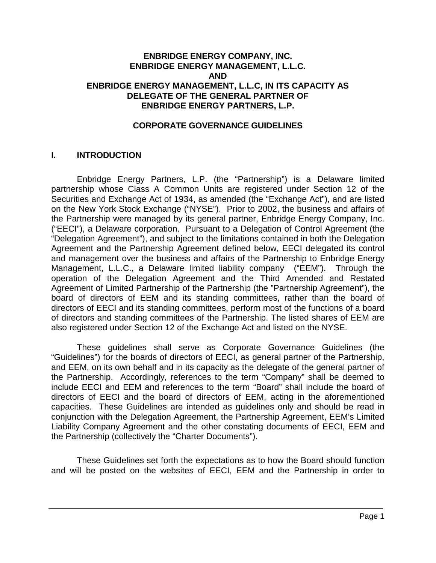#### **ENBRIDGE ENERGY COMPANY, INC. ENBRIDGE ENERGY MANAGEMENT, L.L.C. AND ENBRIDGE ENERGY MANAGEMENT, L.L.C, IN ITS CAPACITY AS DELEGATE OF THE GENERAL PARTNER OF ENBRIDGE ENERGY PARTNERS, L.P.**

#### **CORPORATE GOVERNANCE GUIDELINES**

#### **I. INTRODUCTION**

Enbridge Energy Partners, L.P. (the "Partnership") is a Delaware limited partnership whose Class A Common Units are registered under Section 12 of the Securities and Exchange Act of 1934, as amended (the "Exchange Act"), and are listed on the New York Stock Exchange ("NYSE"). Prior to 2002, the business and affairs of the Partnership were managed by its general partner, Enbridge Energy Company, Inc. ("EECI"), a Delaware corporation. Pursuant to a Delegation of Control Agreement (the "Delegation Agreement"), and subject to the limitations contained in both the Delegation Agreement and the Partnership Agreement defined below, EECI delegated its control and management over the business and affairs of the Partnership to Enbridge Energy Management, L.L.C., a Delaware limited liability company ("EEM"). Through the operation of the Delegation Agreement and the Third Amended and Restated Agreement of Limited Partnership of the Partnership (the "Partnership Agreement"), the board of directors of EEM and its standing committees, rather than the board of directors of EECI and its standing committees, perform most of the functions of a board of directors and standing committees of the Partnership. The listed shares of EEM are also registered under Section 12 of the Exchange Act and listed on the NYSE.

These guidelines shall serve as Corporate Governance Guidelines (the "Guidelines") for the boards of directors of EECI, as general partner of the Partnership, and EEM, on its own behalf and in its capacity as the delegate of the general partner of the Partnership. Accordingly, references to the term "Company" shall be deemed to include EECI and EEM and references to the term "Board" shall include the board of directors of EECI and the board of directors of EEM, acting in the aforementioned capacities. These Guidelines are intended as guidelines only and should be read in conjunction with the Delegation Agreement, the Partnership Agreement, EEM's Limited Liability Company Agreement and the other constating documents of EECI, EEM and the Partnership (collectively the "Charter Documents").

These Guidelines set forth the expectations as to how the Board should function and will be posted on the websites of EECI, EEM and the Partnership in order to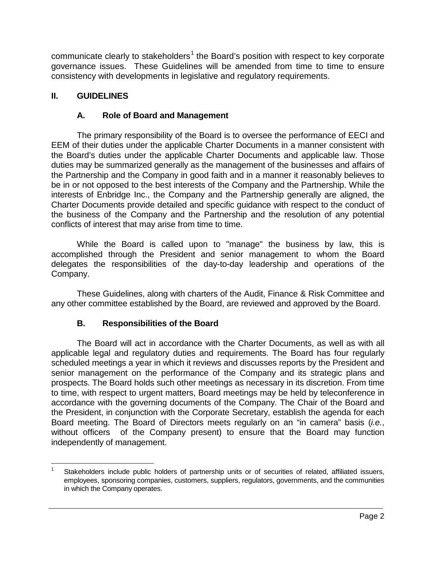communicate clearly to stakeholders<sup>[1](#page-1-0)</sup> the Board's position with respect to key corporate governance issues. These Guidelines will be amended from time to time to ensure consistency with developments in legislative and regulatory requirements.

#### **II. GUIDELINES**

#### **A. Role of Board and Management**

The primary responsibility of the Board is to oversee the performance of EECI and EEM of their duties under the applicable Charter Documents in a manner consistent with the Board's duties under the applicable Charter Documents and applicable law. Those duties may be summarized generally as the management of the businesses and affairs of the Partnership and the Company in good faith and in a manner it reasonably believes to be in or not opposed to the best interests of the Company and the Partnership. While the interests of Enbridge Inc., the Company and the Partnership generally are aligned, the Charter Documents provide detailed and specific guidance with respect to the conduct of the business of the Company and the Partnership and the resolution of any potential conflicts of interest that may arise from time to time.

While the Board is called upon to "manage" the business by law, this is accomplished through the President and senior management to whom the Board delegates the responsibilities of the day-to-day leadership and operations of the Company.

These Guidelines, along with charters of the Audit, Finance & Risk Committee and any other committee established by the Board, are reviewed and approved by the Board.

# **B. Responsibilities of the Board**

The Board will act in accordance with the Charter Documents, as well as with all applicable legal and regulatory duties and requirements. The Board has four regularly scheduled meetings a year in which it reviews and discusses reports by the President and senior management on the performance of the Company and its strategic plans and prospects. The Board holds such other meetings as necessary in its discretion. From time to time, with respect to urgent matters, Board meetings may be held by teleconference in accordance with the governing documents of the Company. The Chair of the Board and the President, in conjunction with the Corporate Secretary, establish the agenda for each Board meeting. The Board of Directors meets regularly on an "in camera" basis (*i.e.*, without officers of the Company present) to ensure that the Board may function independently of management.

<span id="page-1-0"></span>Stakeholders include public holders of partnership units or of securities of related, affiliated issuers, employees, sponsoring companies, customers, suppliers, regulators, governments, and the communities in which the Company operates.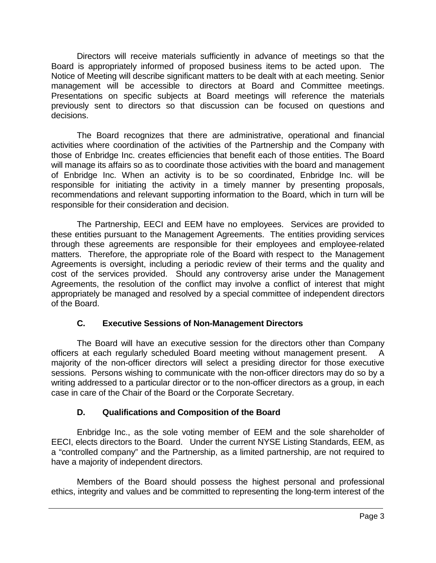Directors will receive materials sufficiently in advance of meetings so that the Board is appropriately informed of proposed business items to be acted upon. The Notice of Meeting will describe significant matters to be dealt with at each meeting. Senior management will be accessible to directors at Board and Committee meetings. Presentations on specific subjects at Board meetings will reference the materials previously sent to directors so that discussion can be focused on questions and decisions.

The Board recognizes that there are administrative, operational and financial activities where coordination of the activities of the Partnership and the Company with those of Enbridge Inc. creates efficiencies that benefit each of those entities. The Board will manage its affairs so as to coordinate those activities with the board and management of Enbridge Inc. When an activity is to be so coordinated, Enbridge Inc. will be responsible for initiating the activity in a timely manner by presenting proposals, recommendations and relevant supporting information to the Board, which in turn will be responsible for their consideration and decision.

The Partnership, EECI and EEM have no employees. Services are provided to these entities pursuant to the Management Agreements. The entities providing services through these agreements are responsible for their employees and employee-related matters. Therefore, the appropriate role of the Board with respect to the Management Agreements is oversight, including a periodic review of their terms and the quality and cost of the services provided. Should any controversy arise under the Management Agreements, the resolution of the conflict may involve a conflict of interest that might appropriately be managed and resolved by a special committee of independent directors of the Board.

# **C. Executive Sessions of Non-Management Directors**

The Board will have an executive session for the directors other than Company officers at each regularly scheduled Board meeting without management present. A majority of the non-officer directors will select a presiding director for those executive sessions. Persons wishing to communicate with the non-officer directors may do so by a writing addressed to a particular director or to the non-officer directors as a group, in each case in care of the Chair of the Board or the Corporate Secretary.

# **D. Qualifications and Composition of the Board**

Enbridge Inc., as the sole voting member of EEM and the sole shareholder of EECI, elects directors to the Board. Under the current NYSE Listing Standards, EEM, as a "controlled company" and the Partnership, as a limited partnership, are not required to have a majority of independent directors.

Members of the Board should possess the highest personal and professional ethics, integrity and values and be committed to representing the long-term interest of the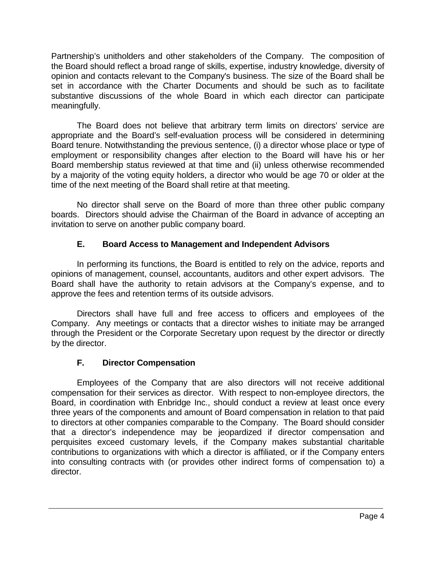Partnership's unitholders and other stakeholders of the Company. The composition of the Board should reflect a broad range of skills, expertise, industry knowledge, diversity of opinion and contacts relevant to the Company's business. The size of the Board shall be set in accordance with the Charter Documents and should be such as to facilitate substantive discussions of the whole Board in which each director can participate meaningfully.

The Board does not believe that arbitrary term limits on directors' service are appropriate and the Board's self-evaluation process will be considered in determining Board tenure. Notwithstanding the previous sentence, (i) a director whose place or type of employment or responsibility changes after election to the Board will have his or her Board membership status reviewed at that time and (ii) unless otherwise recommended by a majority of the voting equity holders, a director who would be age 70 or older at the time of the next meeting of the Board shall retire at that meeting.

No director shall serve on the Board of more than three other public company boards. Directors should advise the Chairman of the Board in advance of accepting an invitation to serve on another public company board.

# **E. Board Access to Management and Independent Advisors**

In performing its functions, the Board is entitled to rely on the advice, reports and opinions of management, counsel, accountants, auditors and other expert advisors. The Board shall have the authority to retain advisors at the Company's expense, and to approve the fees and retention terms of its outside advisors.

Directors shall have full and free access to officers and employees of the Company. Any meetings or contacts that a director wishes to initiate may be arranged through the President or the Corporate Secretary upon request by the director or directly by the director.

# **F. Director Compensation**

Employees of the Company that are also directors will not receive additional compensation for their services as director. With respect to non-employee directors, the Board, in coordination with Enbridge Inc., should conduct a review at least once every three years of the components and amount of Board compensation in relation to that paid to directors at other companies comparable to the Company. The Board should consider that a director's independence may be jeopardized if director compensation and perquisites exceed customary levels, if the Company makes substantial charitable contributions to organizations with which a director is affiliated, or if the Company enters into consulting contracts with (or provides other indirect forms of compensation to) a director.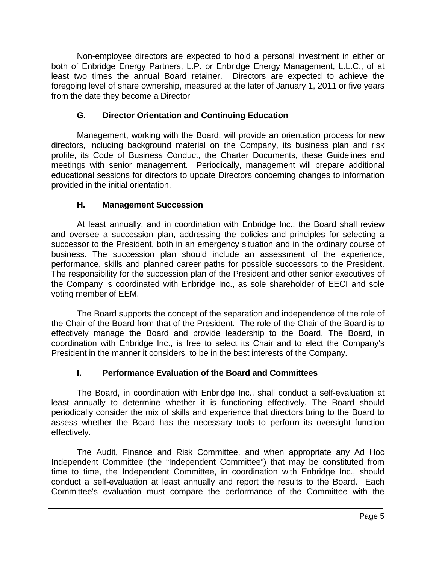Non-employee directors are expected to hold a personal investment in either or both of Enbridge Energy Partners, L.P. or Enbridge Energy Management, L.L.C., of at least two times the annual Board retainer. Directors are expected to achieve the foregoing level of share ownership, measured at the later of January 1, 2011 or five years from the date they become a Director

# **G. Director Orientation and Continuing Education**

Management, working with the Board, will provide an orientation process for new directors, including background material on the Company, its business plan and risk profile, its Code of Business Conduct, the Charter Documents, these Guidelines and meetings with senior management. Periodically, management will prepare additional educational sessions for directors to update Directors concerning changes to information provided in the initial orientation.

#### **H. Management Succession**

At least annually, and in coordination with Enbridge Inc., the Board shall review and oversee a succession plan, addressing the policies and principles for selecting a successor to the President, both in an emergency situation and in the ordinary course of business. The succession plan should include an assessment of the experience, performance, skills and planned career paths for possible successors to the President. The responsibility for the succession plan of the President and other senior executives of the Company is coordinated with Enbridge Inc., as sole shareholder of EECI and sole voting member of EEM.

The Board supports the concept of the separation and independence of the role of the Chair of the Board from that of the President. The role of the Chair of the Board is to effectively manage the Board and provide leadership to the Board. The Board, in coordination with Enbridge Inc., is free to select its Chair and to elect the Company's President in the manner it considers to be in the best interests of the Company.

# **I. Performance Evaluation of the Board and Committees**

The Board, in coordination with Enbridge Inc., shall conduct a self-evaluation at least annually to determine whether it is functioning effectively. The Board should periodically consider the mix of skills and experience that directors bring to the Board to assess whether the Board has the necessary tools to perform its oversight function effectively.

The Audit, Finance and Risk Committee, and when appropriate any Ad Hoc Independent Committee (the "Independent Committee") that may be constituted from time to time, the Independent Committee, in coordination with Enbridge Inc., should conduct a self-evaluation at least annually and report the results to the Board. Each Committee's evaluation must compare the performance of the Committee with the